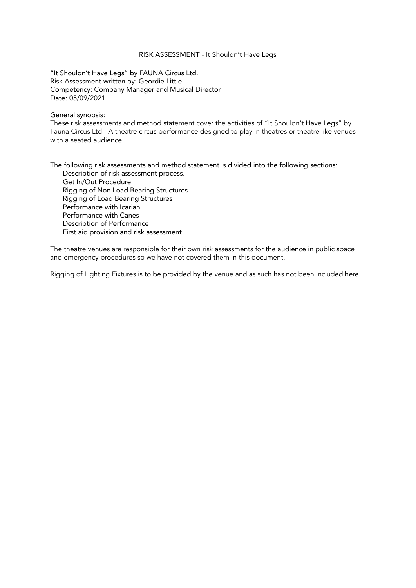#### RISK ASSESSMENT - It Shouldn't Have Legs

"It Shouldn't Have Legs" by FAUNA Circus Ltd. Risk Assessment written by: Geordie Little Competency: Company Manager and Musical Director Date: 05/09/2021

#### General synopsis:

These risk assessments and method statement cover the activities of "It Shouldn't Have Legs" by Fauna Circus Ltd.- A theatre circus performance designed to play in theatres or theatre like venues with a seated audience.

The following risk assessments and method statement is divided into the following sections: Description of risk assessment process. Get In/Out Procedure Rigging of Non Load Bearing Structures Rigging of Load Bearing Structures Performance with Icarian Performance with Canes Description of Performance First aid provision and risk assessment

The theatre venues are responsible for their own risk assessments for the audience in public space and emergency procedures so we have not covered them in this document.

Rigging of Lighting Fixtures is to be provided by the venue and as such has not been included here.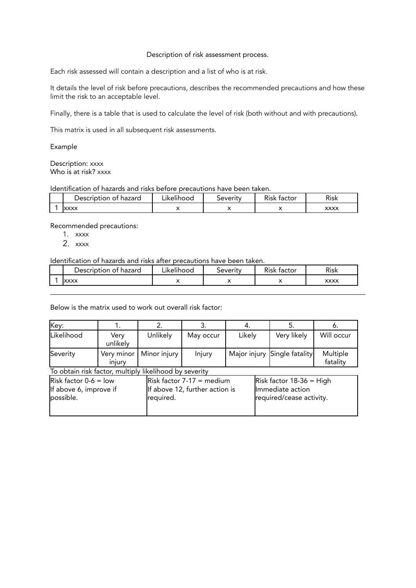#### Description of risk assessment process.

Each risk assessed will contain a description and a list of who is at risk.

It details the level of risk before precautions, describes the recommended precautions and how these limit the risk to an acceptable level.

Finally, there is a table that is used to calculate the level of risk (both without and with precautions).

This matrix is used in all subsequent risk assessments.

Example

Description: xxxx Who is at risk? xxxx

#### Identification of hazards and risks before precautions have been taken.

| Description of hazard | $\bullet$ 1<br>∟ikelihood | <b>Severity</b> | r.<br>factor<br>Kisk | <b>Risk</b> |
|-----------------------|---------------------------|-----------------|----------------------|-------------|
| <b>XXXX</b>           |                           | . .             |                      | XXXX        |

Recommended precautions:

- 1. xxxx
- $2 x x x x$

Identification of hazards and risks after precautions have been taken.

| Description<br>hazard<br>ot. | $\cdot$ .<br>∟ikelihood | everityد | ÷.<br>factor<br>⊀isk | Risk        |
|------------------------------|-------------------------|----------|----------------------|-------------|
| <b>XXXX</b>                  |                         |          | . .                  | <b>XXXX</b> |

Below is the matrix used to work out overall risk factor:

| Key:                                                           |                      | 2.           | 3.                                                            | 4.     | 5.                                                                         | 6.                   |
|----------------------------------------------------------------|----------------------|--------------|---------------------------------------------------------------|--------|----------------------------------------------------------------------------|----------------------|
| Likelihood                                                     | Very<br>unlikely     | Unlikely     | May occur                                                     | Likely | Very likely                                                                | Will occur           |
| Severity                                                       | Very minor<br>injury | Minor injury | Injury                                                        |        | Major injury Single fatality                                               | Multiple<br>fatality |
| To obtain risk factor, multiply likelihood by severity         |                      |              |                                                               |        |                                                                            |                      |
| Risk factor $0-6 =$ low<br>If above 6, improve if<br>possible. |                      | required.    | $Risk factor 7-17 = medium$<br>If above 12, further action is |        | Risk factor $18-36$ = High<br>Immediate action<br>required/cease activity. |                      |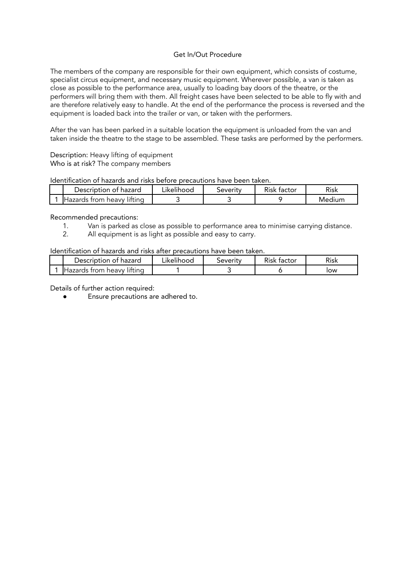## Get In/Out Procedure

The members of the company are responsible for their own equipment, which consists of costume, specialist circus equipment, and necessary music equipment. Wherever possible, a van is taken as close as possible to the performance area, usually to loading bay doors of the theatre, or the performers will bring them with them. All freight cases have been selected to be able to fly with and are therefore relatively easy to handle. At the end of the performance the process is reversed and the equipment is loaded back into the trailer or van, or taken with the performers.

After the van has been parked in a suitable location the equipment is unloaded from the van and taken inside the theatre to the stage to be assembled. These tasks are performed by the performers.

Description: Heavy lifting of equipment Who is at risk? The company members

Identification of hazards and risks before precautions have been taken.

| Description of hazard          | $\cdot$ .<br>∟ikelihood | <b>Severity</b> | n:<br>tactor<br>Risk | ∽∙<br>Risk |
|--------------------------------|-------------------------|-----------------|----------------------|------------|
| IHazards from heavv<br>littina |                         |                 |                      | Medium     |

Recommended precautions:

- 1. Van is parked as close as possible to performance area to minimise carrying distance.<br>2. All equipment is as light as possible and easy to carry.
- All equipment is as light as possible and easy to carry.

Identification of hazards and risks after precautions have been taken.

| Description of hazard       | $\cdot$ .<br>Likelihood. | beverity | n.<br>. factor<br>Risk | Risk |
|-----------------------------|--------------------------|----------|------------------------|------|
| IHazards trom heavv litting |                          |          |                        | low  |

Details of further action required: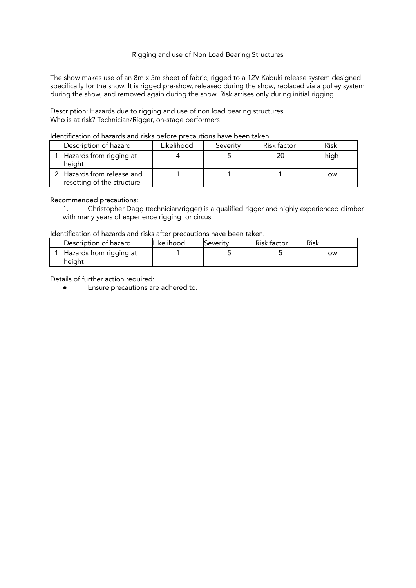## Rigging and use of Non Load Bearing Structures

The show makes use of an 8m x 5m sheet of fabric, rigged to a 12V Kabuki release system designed specifically for the show. It is rigged pre-show, released during the show, replaced via a pulley system during the show, and removed again during the show. Risk arrises only during initial rigging.

Description: Hazards due to rigging and use of non load bearing structures Who is at risk? Technician/Rigger, on-stage performers

| Description of hazard                                    | Likelihood | Severity | Risk factor | Risk |
|----------------------------------------------------------|------------|----------|-------------|------|
| Hazards from rigging at<br><b>height</b>                 |            |          | 20          | high |
| 2 Hazards from release and<br>resetting of the structure |            |          |             | low  |

# Identification of hazards and risks before precautions have been taken.

#### Recommended precautions:

1. Christopher Dagg (technician/rigger) is a qualified rigger and highly experienced climber with many years of experience rigging for circus

### Identification of hazards and risks after precautions have been taken.

| Description of hazard              | <b>ILikelihood</b> | Severity | <b>Risk factor</b> | lRisk |
|------------------------------------|--------------------|----------|--------------------|-------|
| Hazards from rigging at<br>lheiaht |                    |          |                    | low   |

Details of further action required: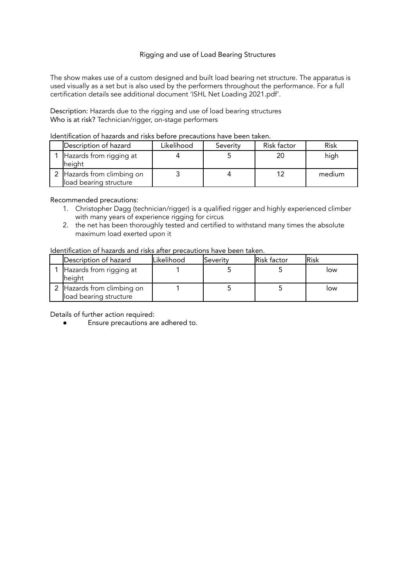# Rigging and use of Load Bearing Structures

The show makes use of a custom designed and built load bearing net structure. The apparatus is used visually as a set but is also used by the performers throughout the performance. For a full certification details see additional document 'ISHL Net Loading 2021.pdf'.

Description: Hazards due to the rigging and use of load bearing structures Who is at risk? Technician/rigger, on-stage performers

| Description of hazard                                | Likelihood | Severity | Risk factor | Risk   |
|------------------------------------------------------|------------|----------|-------------|--------|
| Hazards from rigging at<br>height                    |            |          | 20          | high   |
| 2 Hazards from climbing on<br>load bearing structure |            |          | 12          | medium |

# Identification of hazards and risks before precautions have been taken.

#### Recommended precautions:

- 1. Christopher Dagg (technician/rigger) is a qualified rigger and highly experienced climber with many years of experience rigging for circus
- 2. the net has been thoroughly tested and certified to withstand many times the absolute maximum load exerted upon it

# Identification of hazards and risks after precautions have been taken.

| Description of hazard                                | Likelihood | lSeveritv | <b>Risk factor</b> | <b>Risk</b> |
|------------------------------------------------------|------------|-----------|--------------------|-------------|
| Hazards from rigging at<br>height                    |            |           |                    | low         |
| 2 Hazards from climbing on<br>load bearing structure |            |           |                    | low         |

Details of further action required: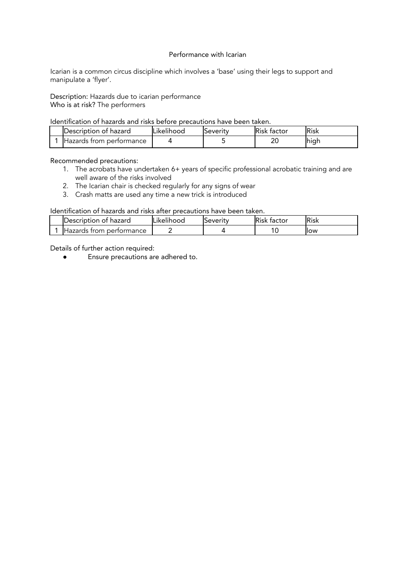### Performance with Icarian

Icarian is a common circus discipline which involves a 'base' using their legs to support and manipulate a 'flyer'.

Description: Hazards due to icarian performance Who is at risk? The performers

## Identification of hazards and risks before precautions have been taken.

| IDescription of hazard            | ILikelihood | beverity، | Risk<br>tactor | Risk         |
|-----------------------------------|-------------|-----------|----------------|--------------|
| <b>I</b> Hazards from performance |             |           | חר<br>∠⊾       | . .<br>Ihiar |

## Recommended precautions:

- 1. The acrobats have undertaken 6+ years of specific professional acrobatic training and are well aware of the risks involved
- 2. The Icarian chair is checked regularly for any signs of wear
- 3. Crash matts are used any time a new trick is introduced

# Identification of hazards and risks after precautions have been taken.

| <b>IDescription of hazard</b> | $\cdot$ .<br>∟ikelihood | <b>Beverity</b> | <b>IRisk</b><br>. factor | <b>IRisk</b> |
|-------------------------------|-------------------------|-----------------|--------------------------|--------------|
| IHazards from performance     |                         |                 |                          | llow         |

Details of further action required: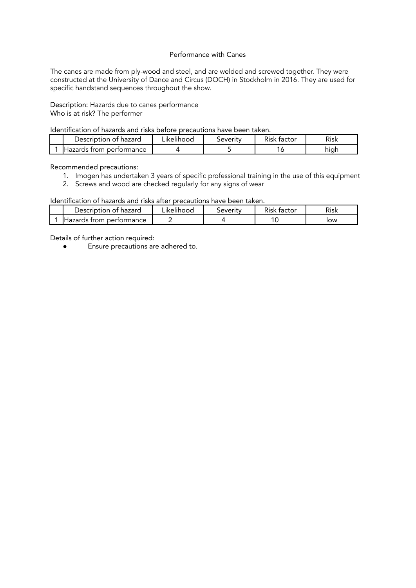### Performance with Canes

The canes are made from ply-wood and steel, and are welded and screwed together. They were constructed at the University of Dance and Circus (DOCH) in Stockholm in 2016. They are used for specific handstand sequences throughout the show.

Description: Hazards due to canes performance Who is at risk? The performer

Identification of hazards and risks before precautions have been taken.

| Description of hazard             | $\cdot$ .<br>∟ikelihood | beverity | <b>Risk</b><br>factor | Risk |
|-----------------------------------|-------------------------|----------|-----------------------|------|
| . Hazards H<br>, from performance |                         |          | O                     | hıqr |

Recommended precautions:

- 1. Imogen has undertaken 3 years of specific professional training in the use of this equipment
- 2. Screws and wood are checked regularly for any signs of wear

#### Identification of hazards and risks after precautions have been taken.

| Description of hazard             | Likelihood | beverity | Risk factor | Risk |
|-----------------------------------|------------|----------|-------------|------|
| <b>I</b> Hazards from performance |            |          |             | low  |

Details of further action required: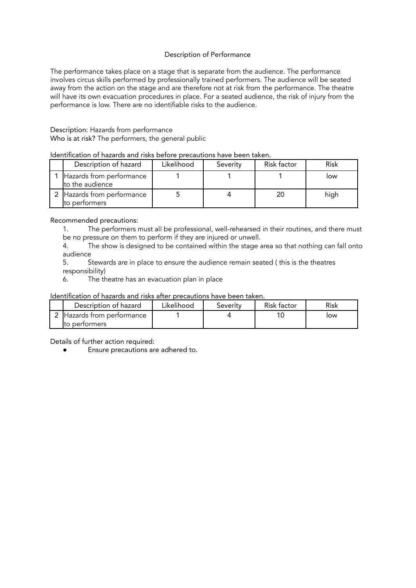## Description of Performance

The performance takes place on a stage that is separate from the audience. The performance involves circus skills performed by professionally trained performers. The audience will be seated away from the action on the stage and are therefore not at risk from the performance. The theatre will have its own evacuation procedures in place. For a seated audience, the risk of injury from the performance is low. There are no identifiable risks to the audience.

# Description: Hazards from performance Who is at risk? The performers, the general public

# Identification of hazards and risks before precautions have been taken.

| Description of hazard                       | Likelihood | Severity | Risk factor | Risk |
|---------------------------------------------|------------|----------|-------------|------|
| Hazards from performance<br>to the audience |            |          |             | low  |
| Hazards from performance<br>to performers   |            |          | 20          | high |

Recommended precautions:

1. The performers must all be professional, well-rehearsed in their routines, and there must be no pressure on them to perform if they are injured or unwell.

4. The show is designed to be contained within the stage area so that nothing can fall onto audience

5. Stewards are in place to ensure the audience remain seated ( this is the theatres responsibility)

6. The theatre has an evacuation plan in place

## Identification of hazards and risks after precautions have been taken.

| Description of hazard      | Likelihood | Severity | Risk factor | Risk |
|----------------------------|------------|----------|-------------|------|
| 2 Hazards from pertormance |            |          |             | low  |
| Ito performers             |            |          |             |      |

Details of further action required: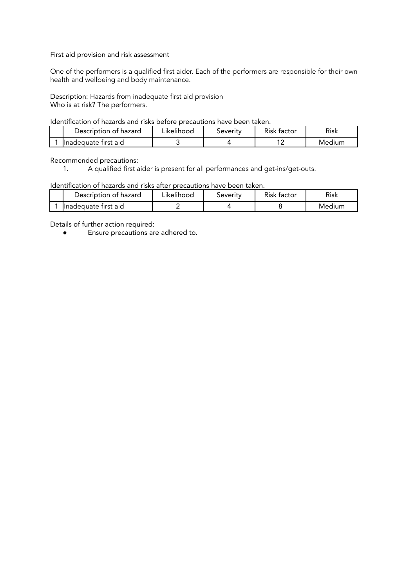## First aid provision and risk assessment

One of the performers is a qualified first aider. Each of the performers are responsible for their own health and wellbeing and body maintenance.

Description: Hazards from inadequate first aid provision Who is at risk? The performers.

## Identification of hazards and risks before precautions have been taken.

| Description of hazard | ∟ikelihood | Severity | Risk factor | Risk   |
|-----------------------|------------|----------|-------------|--------|
| Inadequate first aid  |            |          |             | Medium |

#### Recommended precautions:

1. A qualified first aider is present for all performances and get-ins/get-outs.

## Identification of hazards and risks after precautions have been taken.

| Description of hazard | ∟ikelihood∶ | Severity | Risk factor | <b>Risk</b> |
|-----------------------|-------------|----------|-------------|-------------|
| Inadequate first aid  |             |          |             | Medium      |

Details of further action required: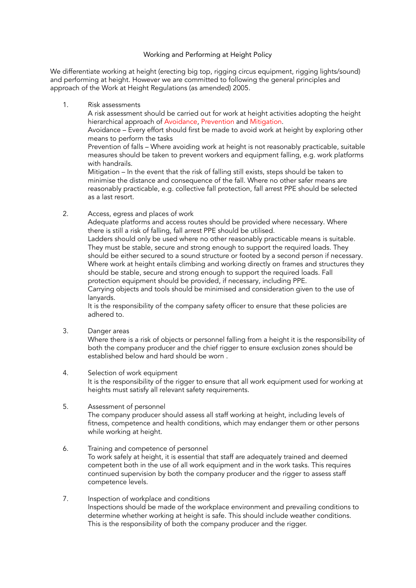## Working and Performing at Height Policy

We differentiate working at height (erecting big top, rigging circus equipment, rigging lights/sound) and performing at height. However we are committed to following the general principles and approach of the Work at Height Regulations (as amended) 2005.

1. Risk assessments

A risk assessment should be carried out for work at height activities adopting the height hierarchical approach of Avoidance, Prevention and Mitigation.

Avoidance – Every effort should first be made to avoid work at height by exploring other means to perform the tasks

Prevention of falls – Where avoiding work at height is not reasonably practicable, suitable measures should be taken to prevent workers and equipment falling, e.g. work platforms with handrails.

Mitigation – In the event that the risk of falling still exists, steps should be taken to minimise the distance and consequence of the fall. Where no other safer means are reasonably practicable, e.g. collective fall protection, fall arrest PPE should be selected as a last resort.

2. Access, egress and places of work

Adequate platforms and access routes should be provided where necessary. Where there is still a risk of falling, fall arrest PPE should be utilised.

Ladders should only be used where no other reasonably practicable means is suitable. They must be stable, secure and strong enough to support the required loads. They should be either secured to a sound structure or footed by a second person if necessary. Where work at height entails climbing and working directly on frames and structures they should be stable, secure and strong enough to support the required loads. Fall protection equipment should be provided, if necessary, including PPE. Carrying objects and tools should be minimised and consideration given to the use of lanyards.

It is the responsibility of the company safety officer to ensure that these policies are adhered to.

3. Danger areas

Where there is a risk of objects or personnel falling from a height it is the responsibility of both the company producer and the chief rigger to ensure exclusion zones should be established below and hard should be worn .

- 4. Selection of work equipment It is the responsibility of the rigger to ensure that all work equipment used for working at heights must satisfy all relevant safety requirements.
- 5. Assessment of personnel

The company producer should assess all staff working at height, including levels of fitness, competence and health conditions, which may endanger them or other persons while working at height.

- 6. Training and competence of personnel To work safely at height, it is essential that staff are adequately trained and deemed competent both in the use of all work equipment and in the work tasks. This requires continued supervision by both the company producer and the rigger to assess staff competence levels.
- 7. Inspection of workplace and conditions Inspections should be made of the workplace environment and prevailing conditions to determine whether working at height is safe. This should include weather conditions. This is the responsibility of both the company producer and the rigger.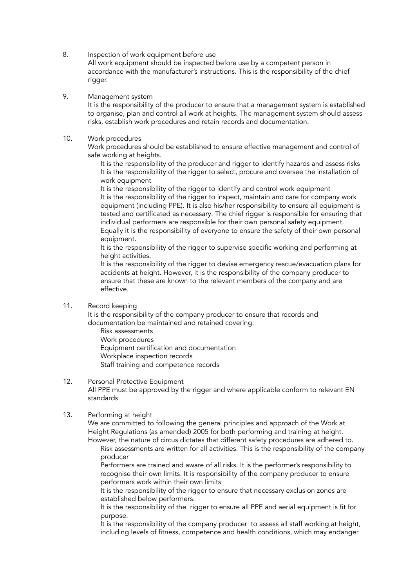8. Inspection of work equipment before use

All work equipment should be inspected before use by a competent person in accordance with the manufacturer's instructions. This is the responsibility of the chief rigger.

9. Management system

It is the responsibility of the producer to ensure that a management system is established to organise, plan and control all work at heights. The management system should assess risks, establish work procedures and retain records and documentation.

10. Work procedures

Work procedures should be established to ensure effective management and control of safe working at heights.

It is the responsibility of the producer and rigger to identify hazards and assess risks It is the responsibility of the rigger to select, procure and oversee the installation of work equipment

It is the responsibility of the rigger to identify and control work equipment It is the responsibility of the rigger to inspect, maintain and care for company work equipment (including PPE). It is also his/her responsibility to ensure all equipment is tested and certificated as necessary. The chief rigger is responsible for ensuring that individual performers are responsible for their own personal safety equipment. Equally it is the responsibility of everyone to ensure the safety of their own personal equipment.

It is the responsibility of the rigger to supervise specific working and performing at height activities.

It is the responsibility of the rigger to devise emergency rescue/evacuation plans for accidents at height. However, it is the responsibility of the company producer to ensure that these are known to the relevant members of the company and are effective.

## 11. Record keeping

It is the responsibility of the company producer to ensure that records and documentation be maintained and retained covering:

Risk assessments Work procedures Equipment certification and documentation Workplace inspection records Staff training and competence records

## 12. Personal Protective Equipment

All PPE must be approved by the rigger and where applicable conform to relevant EN standards

## 13. Performing at height

We are committed to following the general principles and approach of the Work at Height Regulations (as amended) 2005 for both performing and training at height. However, the nature of circus dictates that different safety procedures are adhered to.

Risk assessments are written for all activities. This is the responsibility of the company producer

Performers are trained and aware of all risks. It is the performer's responsibility to recognise their own limits. It is responsibility of the company producer to ensure performers work within their own limits

It is the responsibility of the rigger to ensure that necessary exclusion zones are established below performers.

It is the responsibility of the rigger to ensure all PPE and aerial equipment is fit for purpose.

It is the responsibility of the company producer to assess all staff working at height, including levels of fitness, competence and health conditions, which may endanger